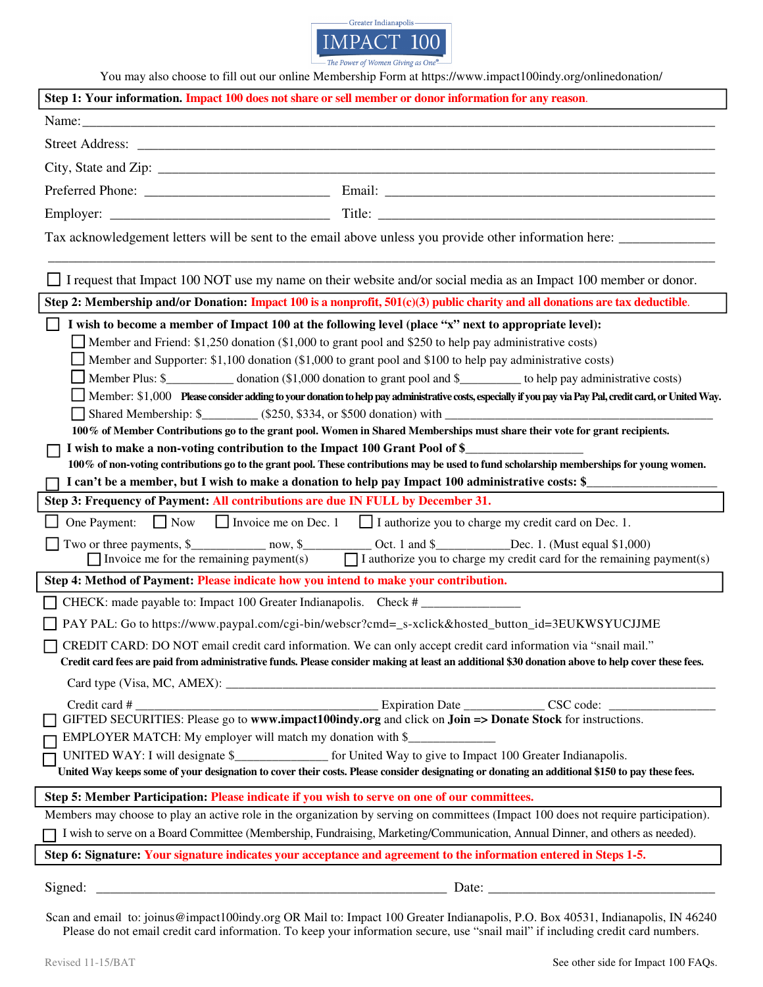

The Power of Women Giving as On

| You may also choose to fill out our online Membership Form at https://www.impact100indy.org/onlinedonation/<br>Step 1: Your information. Impact 100 does not share or sell member or donor information for any reason.                                                                                                                                                                                                                                                                                                                                                                                                                                                                                                                                                                                                                                                                                                                                                                                                                                                                |
|---------------------------------------------------------------------------------------------------------------------------------------------------------------------------------------------------------------------------------------------------------------------------------------------------------------------------------------------------------------------------------------------------------------------------------------------------------------------------------------------------------------------------------------------------------------------------------------------------------------------------------------------------------------------------------------------------------------------------------------------------------------------------------------------------------------------------------------------------------------------------------------------------------------------------------------------------------------------------------------------------------------------------------------------------------------------------------------|
|                                                                                                                                                                                                                                                                                                                                                                                                                                                                                                                                                                                                                                                                                                                                                                                                                                                                                                                                                                                                                                                                                       |
|                                                                                                                                                                                                                                                                                                                                                                                                                                                                                                                                                                                                                                                                                                                                                                                                                                                                                                                                                                                                                                                                                       |
|                                                                                                                                                                                                                                                                                                                                                                                                                                                                                                                                                                                                                                                                                                                                                                                                                                                                                                                                                                                                                                                                                       |
|                                                                                                                                                                                                                                                                                                                                                                                                                                                                                                                                                                                                                                                                                                                                                                                                                                                                                                                                                                                                                                                                                       |
|                                                                                                                                                                                                                                                                                                                                                                                                                                                                                                                                                                                                                                                                                                                                                                                                                                                                                                                                                                                                                                                                                       |
|                                                                                                                                                                                                                                                                                                                                                                                                                                                                                                                                                                                                                                                                                                                                                                                                                                                                                                                                                                                                                                                                                       |
|                                                                                                                                                                                                                                                                                                                                                                                                                                                                                                                                                                                                                                                                                                                                                                                                                                                                                                                                                                                                                                                                                       |
| I request that Impact 100 NOT use my name on their website and/or social media as an Impact 100 member or donor.                                                                                                                                                                                                                                                                                                                                                                                                                                                                                                                                                                                                                                                                                                                                                                                                                                                                                                                                                                      |
| Step 2: Membership and/or Donation: Impact 100 is a nonprofit, $501(c)(3)$ public charity and all donations are tax deductible.                                                                                                                                                                                                                                                                                                                                                                                                                                                                                                                                                                                                                                                                                                                                                                                                                                                                                                                                                       |
| I wish to become a member of Impact 100 at the following level (place "x" next to appropriate level):<br>Member and Friend: \$1,250 donation (\$1,000 to grant pool and \$250 to help pay administrative costs)<br>Member and Supporter: \$1,100 donation (\$1,000 to grant pool and \$100 to help pay administrative costs)<br>Member Plus: \$______________ donation (\$1,000 donation to grant pool and \$___________ to help pay administrative costs)<br>Member: \$1,000 Please consider adding to your donation to help pay administrative costs, especially if you pay via Pay Pal, credit card, or United Way.<br>100% of Member Contributions go to the grant pool. Women in Shared Memberships must share their vote for grant recipients.<br>I wish to make a non-voting contribution to the Impact 100 Grant Pool of \$_<br>100% of non-voting contributions go to the grant pool. These contributions may be used to fund scholarship memberships for young women.<br>I can't be a member, but I wish to make a donation to help pay Impact 100 administrative costs: \$ |
| Step 3: Frequency of Payment: All contributions are due IN FULL by December 31.                                                                                                                                                                                                                                                                                                                                                                                                                                                                                                                                                                                                                                                                                                                                                                                                                                                                                                                                                                                                       |
| One Payment: $\Box$ Now $\Box$ Invoice me on Dec. 1 $\Box$ I authorize you to charge my credit card on Dec. 1.                                                                                                                                                                                                                                                                                                                                                                                                                                                                                                                                                                                                                                                                                                                                                                                                                                                                                                                                                                        |
| Two or three payments, \$______________ now, \$_____________ Oct. 1 and \$___________Dec. 1. (Must equal \$1,000)<br>Invoice me for the remaining payment(s) $\Box$ I authorize you to charge my credit card for the remaining payment(s)                                                                                                                                                                                                                                                                                                                                                                                                                                                                                                                                                                                                                                                                                                                                                                                                                                             |
| Step 4: Method of Payment: Please indicate how you intend to make your contribution.                                                                                                                                                                                                                                                                                                                                                                                                                                                                                                                                                                                                                                                                                                                                                                                                                                                                                                                                                                                                  |
| CHECK: made payable to: Impact 100 Greater Indianapolis. Check #                                                                                                                                                                                                                                                                                                                                                                                                                                                                                                                                                                                                                                                                                                                                                                                                                                                                                                                                                                                                                      |
| PAY PAL: Go to https://www.paypal.com/cgi-bin/webscr?cmd=_s-xclick&hosted_button_id=3EUKWSYUCJJME                                                                                                                                                                                                                                                                                                                                                                                                                                                                                                                                                                                                                                                                                                                                                                                                                                                                                                                                                                                     |
| CREDIT CARD: DO NOT email credit card information. We can only accept credit card information via "snail mail."<br>Credit card fees are paid from administrative funds. Please consider making at least an additional \$30 donation above to help cover these fees.                                                                                                                                                                                                                                                                                                                                                                                                                                                                                                                                                                                                                                                                                                                                                                                                                   |
|                                                                                                                                                                                                                                                                                                                                                                                                                                                                                                                                                                                                                                                                                                                                                                                                                                                                                                                                                                                                                                                                                       |
| Credit card #<br>GIFTED SECURITIES: Please go to www.impact100indy.org and click on Join => Donate Stock for instructions.<br>EMPLOYER MATCH: My employer will match my donation with \$<br>UNITED WAY: I will designate \$________________ for United Way to give to Impact 100 Greater Indianapolis.<br>United Way keeps some of your designation to cover their costs. Please consider designating or donating an additional \$150 to pay these fees.                                                                                                                                                                                                                                                                                                                                                                                                                                                                                                                                                                                                                              |
| Step 5: Member Participation: Please indicate if you wish to serve on one of our committees.                                                                                                                                                                                                                                                                                                                                                                                                                                                                                                                                                                                                                                                                                                                                                                                                                                                                                                                                                                                          |
| Members may choose to play an active role in the organization by serving on committees (Impact 100 does not require participation).                                                                                                                                                                                                                                                                                                                                                                                                                                                                                                                                                                                                                                                                                                                                                                                                                                                                                                                                                   |
| I wish to serve on a Board Committee (Membership, Fundraising, Marketing/Communication, Annual Dinner, and others as needed).                                                                                                                                                                                                                                                                                                                                                                                                                                                                                                                                                                                                                                                                                                                                                                                                                                                                                                                                                         |
| Step 6: Signature: Your signature indicates your acceptance and agreement to the information entered in Steps 1-5.                                                                                                                                                                                                                                                                                                                                                                                                                                                                                                                                                                                                                                                                                                                                                                                                                                                                                                                                                                    |
|                                                                                                                                                                                                                                                                                                                                                                                                                                                                                                                                                                                                                                                                                                                                                                                                                                                                                                                                                                                                                                                                                       |

Scan and email to: joinus@impact100indy.org OR Mail to: Impact 100 Greater Indianapolis, P.O. Box 40531, Indianapolis, IN 46240 Please do not email credit card information. To keep your information secure, use "snail mail" if including credit card numbers.